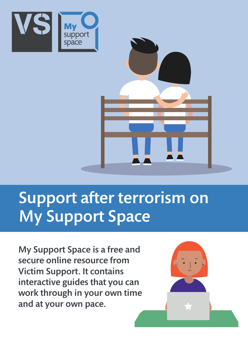



# Support after terrorism on My Support Space

My Support Space is a free and secure online resource from Victim Support. It contains interactive guides that you can work through in your own time and at your own pace.

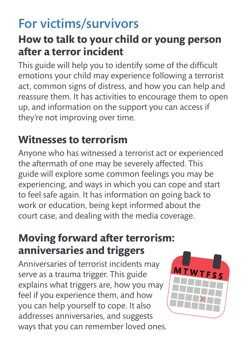## For victims/survivors

### **How to talk to your child or young person after a terror incident**

This guide will help you to identify some of the difficult emotions your child may experience following a terrorist act, common signs of distress, and how you can help and reassure them. It has activities to encourage them to open up, and information on the support you can access if they're not improving over time.

### **Witnesses to terrorism**

Anyone who has witnessed a terrorist act or experienced the aftermath of one may be severely affected. This guide will explore some common feelings you may be experiencing, and ways in which you can cope and start to feel safe again. It has information on going back to work or education, being kept informed about the court case, and dealing with the media coverage.

### **Moving forward after terrorism: anniversaries and triggers**

Anniversaries of terrorist incidents may serve as a trauma trigger. This guide explains what triggers are, how you may feel if you experience them, and how you can help yourself to cope. It also addresses anniversaries, and suggests ways that you can remember loved ones.

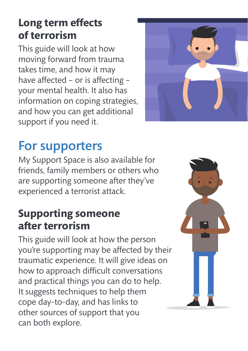### **Long term effects of terrorism**

This guide will look at how moving forward from trauma takes time, and how it may have affected – or is affecting – your mental health. It also has information on coping strategies, and how you can get additional support if you need it.

## For supporters

My Support Space is also available for friends, family members or others who are supporting someone after they've experienced a terrorist attack.

### **Supporting someone after terrorism**

This guide will look at how the person you're supporting may be affected by their traumatic experience. It will give ideas on how to approach difficult conversations and practical things you can do to help. It suggests techniques to help them cope day-to-day, and has links to other sources of support that you can both explore.